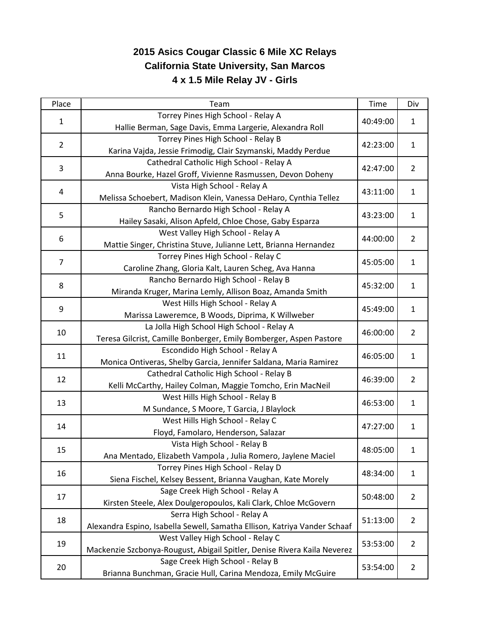## **2015 Asics Cougar Classic 6 Mile XC Relays California State University, San Marcos 4 x 1.5 Mile Relay JV - Girls**

| Place          | Team                                                                                           | <b>Time</b> | Div            |
|----------------|------------------------------------------------------------------------------------------------|-------------|----------------|
| $\mathbf{1}$   | Torrey Pines High School - Relay A                                                             | 40:49:00    | 1              |
|                | Hallie Berman, Sage Davis, Emma Largerie, Alexandra Roll<br>Torrey Pines High School - Relay B |             |                |
| $\overline{2}$ | Karina Vajda, Jessie Frimodig, Clair Szymanski, Maddy Perdue                                   | 42:23:00    | $\mathbf{1}$   |
|                | Cathedral Catholic High School - Relay A                                                       |             |                |
| 3              | Anna Bourke, Hazel Groff, Vivienne Rasmussen, Devon Doheny                                     | 42:47:00    | $\overline{2}$ |
|                | Vista High School - Relay A                                                                    | 43:11:00    | 1              |
| 4              | Melissa Schoebert, Madison Klein, Vanessa DeHaro, Cynthia Tellez                               |             |                |
|                | Rancho Bernardo High School - Relay A                                                          |             | $\mathbf{1}$   |
| 5              | Hailey Sasaki, Alison Apfeld, Chloe Chose, Gaby Esparza                                        | 43:23:00    |                |
|                | West Valley High School - Relay A                                                              |             | $\overline{2}$ |
| 6              | Mattie Singer, Christina Stuve, Julianne Lett, Brianna Hernandez                               | 44:00:00    |                |
| $\overline{7}$ | Torrey Pines High School - Relay C                                                             | 45:05:00    | $\mathbf{1}$   |
|                | Caroline Zhang, Gloria Kalt, Lauren Scheg, Ava Hanna                                           |             |                |
| 8              | Rancho Bernardo High School - Relay B                                                          | 45:32:00    | $\mathbf{1}$   |
|                | Miranda Kruger, Marina Lemly, Allison Boaz, Amanda Smith                                       |             |                |
|                | West Hills High School - Relay A                                                               | 45:49:00    |                |
| 9              | Marissa Laweremce, B Woods, Diprima, K Willweber                                               |             | $\mathbf{1}$   |
|                | La Jolla High School High School - Relay A                                                     | 46:00:00    | $\overline{2}$ |
| 10             | Teresa Gilcrist, Camille Bonberger, Emily Bomberger, Aspen Pastore                             |             |                |
|                | Escondido High School - Relay A                                                                | 46:05:00    | $\mathbf{1}$   |
| 11             | Monica Ontiveras, Shelby Garcia, Jennifer Saldana, Maria Ramirez                               |             |                |
|                | Cathedral Catholic High School - Relay B                                                       |             | $\overline{2}$ |
| 12             | Kelli McCarthy, Hailey Colman, Maggie Tomcho, Erin MacNeil                                     | 46:39:00    |                |
| 13             | West Hills High School - Relay B                                                               | 46:53:00    | $\mathbf{1}$   |
|                | M Sundance, S Moore, T Garcia, J Blaylock                                                      |             |                |
| 14             | West Hills High School - Relay C                                                               | 47:27:00    | $\mathbf{1}$   |
|                | Floyd, Famolaro, Henderson, Salazar                                                            |             |                |
|                | Vista High School - Relay B                                                                    | 48:05:00    | $\mathbf{1}$   |
| 15             | Ana Mentado, Elizabeth Vampola, Julia Romero, Jaylene Maciel                                   |             |                |
| 16             | Torrey Pines High School - Relay D                                                             | 48:34:00    | 1              |
|                | Siena Fischel, Kelsey Bessent, Brianna Vaughan, Kate Morely                                    |             |                |
| 17             | Sage Creek High School - Relay A                                                               | 50:48:00    | $\overline{2}$ |
|                | Kirsten Steele, Alex Doulgeropoulos, Kali Clark, Chloe McGovern                                |             |                |
| 18             | Serra High School - Relay A                                                                    | 51:13:00    | $\overline{2}$ |
|                | Alexandra Espino, Isabella Sewell, Samatha Ellison, Katriya Vander Schaaf                      |             |                |
| 19             | West Valley High School - Relay C                                                              | 53:53:00    | $\overline{2}$ |
|                | Mackenzie Szcbonya-Rougust, Abigail Spitler, Denise Rivera Kaila Neverez                       |             |                |
| 20             | Sage Creek High School - Relay B                                                               | 53:54:00    | $\overline{2}$ |
|                | Brianna Bunchman, Gracie Hull, Carina Mendoza, Emily McGuire                                   |             |                |